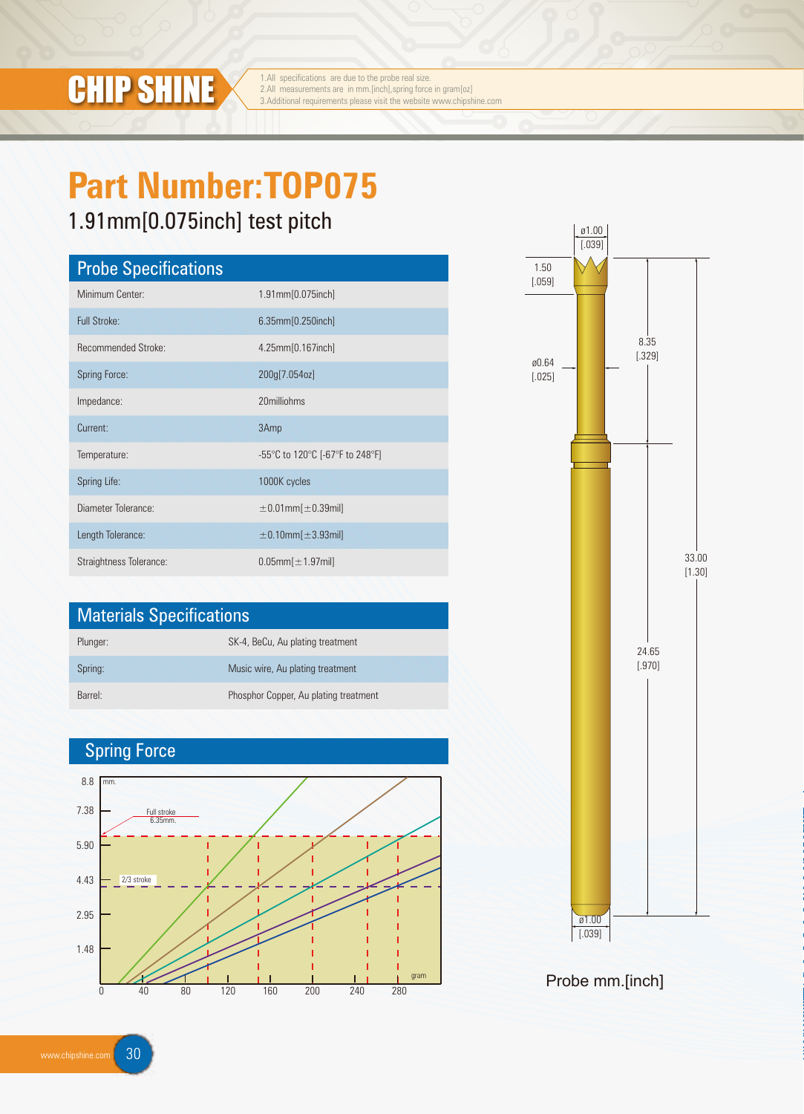

1.All specifications are due to the probe real size.<br>2.All measurements are in mm.[inch],spring force in gram[oz] **CHIP SHINE** 3.All measurements are due to the probe real size.<br>
3.Additional requirements please visit the website www.chipshine.com

# **Part Number:TOP075**

## 1.91mm[0.075inch] test pitch

| <b>Probe Specifications</b> |                                 |  |  |  |
|-----------------------------|---------------------------------|--|--|--|
| Minimum Center:             | 1.91mm[0.075inch]               |  |  |  |
| Full Stroke:                | 6.35mm[0.250inch]               |  |  |  |
| <b>Recommended Stroke:</b>  | 4.25mm[0.167inch]               |  |  |  |
| <b>Spring Force:</b>        | 200g[7.054oz]                   |  |  |  |
| Impedance:                  | 20milliohms                     |  |  |  |
| Current:                    | 3Amp                            |  |  |  |
| Temperature:                | -55°C to 120°C [-67°F to 248°F] |  |  |  |
| Spring Life:                | 1000K cycles                    |  |  |  |
| Diameter Tolerance:         | $\pm 0.01$ mm $[\pm 0.39$ mil]  |  |  |  |
| Length Tolerance:           | $\pm$ 0.10mm $[\pm$ 3.93mil]    |  |  |  |
| Straightness Tolerance:     | $0.05$ mm $[±1.97$ mil]         |  |  |  |

| <b>Materials Specifications</b> |                                       |  |
|---------------------------------|---------------------------------------|--|
| Plunger:                        | SK-4, BeCu, Au plating treatment      |  |
| Spring:                         | Music wire, Au plating treatment      |  |
| Barrel <sup>-</sup>             | Phosphor Copper, Au plating treatment |  |

### Spring Force





Probe mm.[inch]

www.chipshine.com 30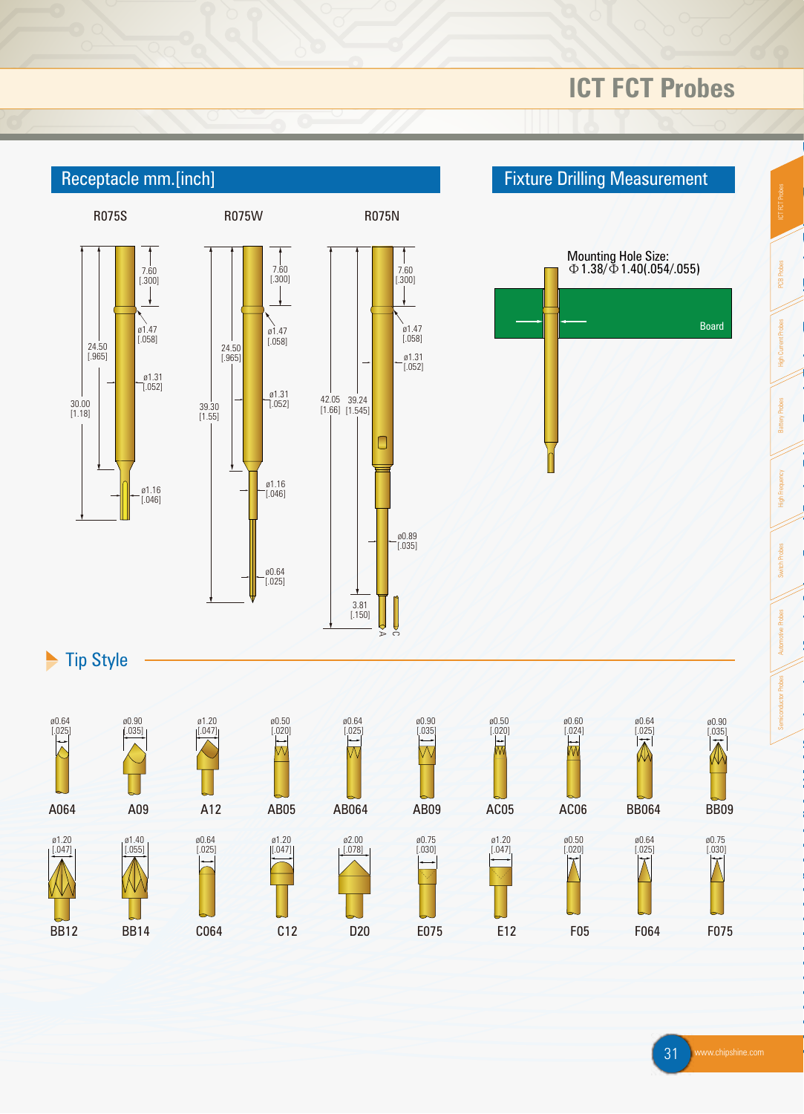## **ICT FCT Probes**